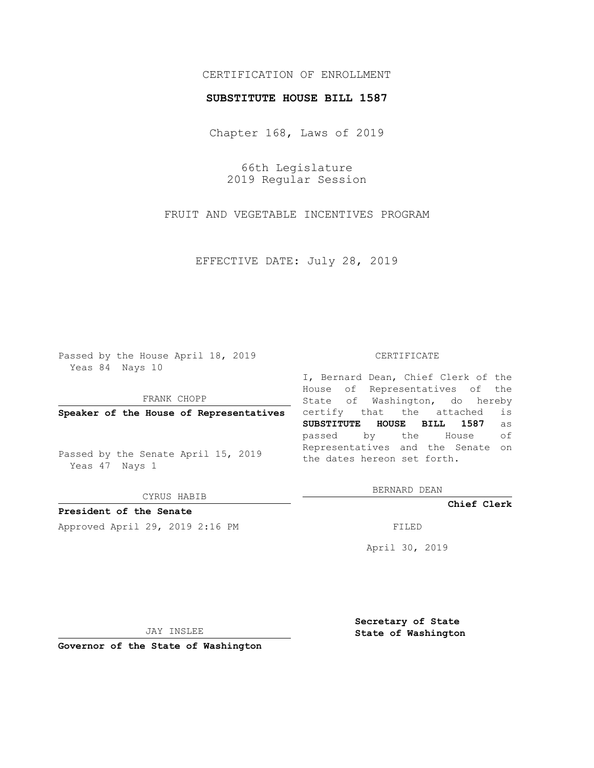## CERTIFICATION OF ENROLLMENT

#### **SUBSTITUTE HOUSE BILL 1587**

Chapter 168, Laws of 2019

66th Legislature 2019 Regular Session

FRUIT AND VEGETABLE INCENTIVES PROGRAM

EFFECTIVE DATE: July 28, 2019

Passed by the House April 18, 2019 Yeas 84 Nays 10

FRANK CHOPP

**Speaker of the House of Representatives**

Passed by the Senate April 15, 2019 Yeas 47 Nays 1

CYRUS HABIB

**President of the Senate**

Approved April 29, 2019 2:16 PM FILED

#### CERTIFICATE

I, Bernard Dean, Chief Clerk of the House of Representatives of the State of Washington, do hereby certify that the attached is **SUBSTITUTE HOUSE BILL 1587** as passed by the House of Representatives and the Senate on the dates hereon set forth.

BERNARD DEAN

**Chief Clerk**

April 30, 2019

JAY INSLEE

**Governor of the State of Washington**

**Secretary of State State of Washington**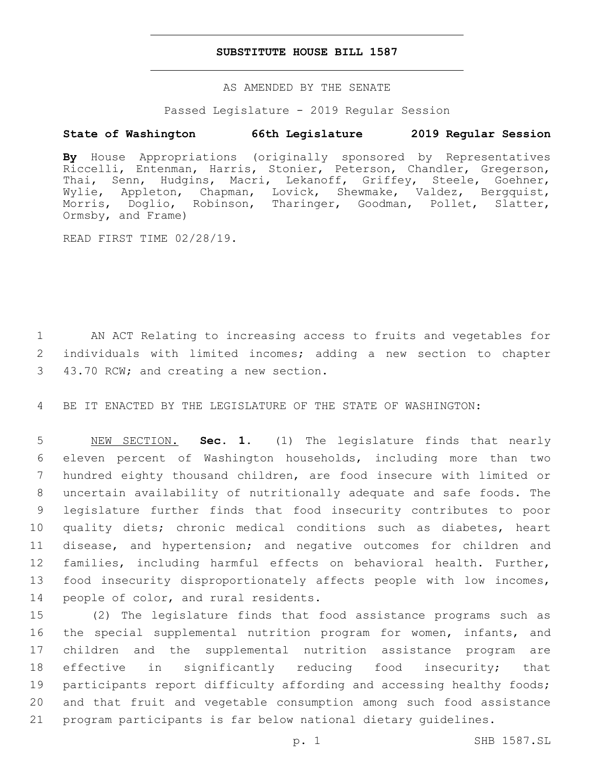### **SUBSTITUTE HOUSE BILL 1587**

AS AMENDED BY THE SENATE

Passed Legislature - 2019 Regular Session

# **State of Washington 66th Legislature 2019 Regular Session**

**By** House Appropriations (originally sponsored by Representatives Riccelli, Entenman, Harris, Stonier, Peterson, Chandler, Gregerson, Thai, Senn, Hudgins, Macri, Lekanoff, Griffey, Steele, Goehner, Wylie, Appleton, Chapman, Lovick, Shewmake, Valdez, Bergquist, Morris, Doglio, Robinson, Tharinger, Goodman, Pollet, Slatter, Morris, Doglio,<br>Ormsby, and Frame)

READ FIRST TIME 02/28/19.

1 AN ACT Relating to increasing access to fruits and vegetables for 2 individuals with limited incomes; adding a new section to chapter 43.70 RCW; and creating a new section.3

4 BE IT ENACTED BY THE LEGISLATURE OF THE STATE OF WASHINGTON:

 NEW SECTION. **Sec. 1.** (1) The legislature finds that nearly eleven percent of Washington households, including more than two hundred eighty thousand children, are food insecure with limited or uncertain availability of nutritionally adequate and safe foods. The legislature further finds that food insecurity contributes to poor quality diets; chronic medical conditions such as diabetes, heart disease, and hypertension; and negative outcomes for children and families, including harmful effects on behavioral health. Further, food insecurity disproportionately affects people with low incomes, people of color, and rural residents.

 (2) The legislature finds that food assistance programs such as 16 the special supplemental nutrition program for women, infants, and children and the supplemental nutrition assistance program are effective in significantly reducing food insecurity; that 19 participants report difficulty affording and accessing healthy foods; and that fruit and vegetable consumption among such food assistance program participants is far below national dietary guidelines.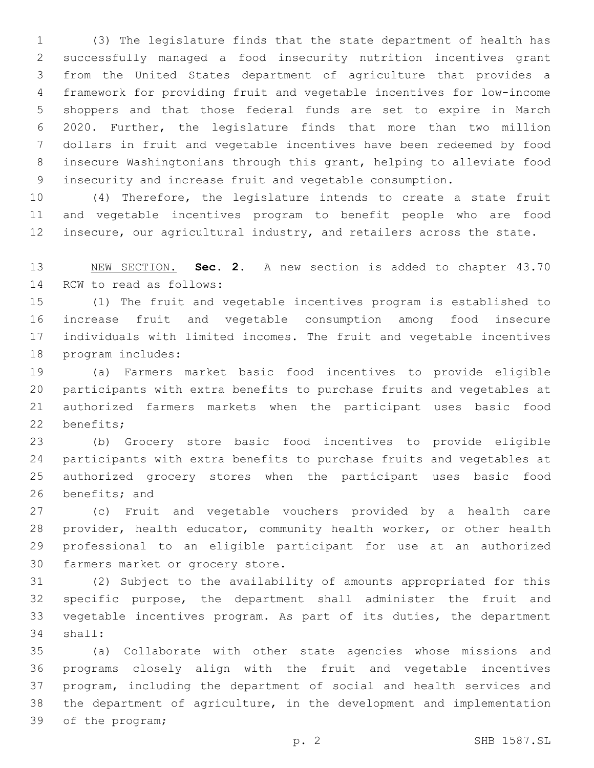(3) The legislature finds that the state department of health has successfully managed a food insecurity nutrition incentives grant from the United States department of agriculture that provides a framework for providing fruit and vegetable incentives for low-income shoppers and that those federal funds are set to expire in March 2020. Further, the legislature finds that more than two million dollars in fruit and vegetable incentives have been redeemed by food insecure Washingtonians through this grant, helping to alleviate food insecurity and increase fruit and vegetable consumption.

 (4) Therefore, the legislature intends to create a state fruit and vegetable incentives program to benefit people who are food 12 insecure, our agricultural industry, and retailers across the state.

 NEW SECTION. **Sec. 2.** A new section is added to chapter 43.70 14 RCW to read as follows:

 (1) The fruit and vegetable incentives program is established to increase fruit and vegetable consumption among food insecure individuals with limited incomes. The fruit and vegetable incentives 18 program includes:

 (a) Farmers market basic food incentives to provide eligible participants with extra benefits to purchase fruits and vegetables at authorized farmers markets when the participant uses basic food 22 benefits;

 (b) Grocery store basic food incentives to provide eligible participants with extra benefits to purchase fruits and vegetables at authorized grocery stores when the participant uses basic food 26 benefits; and

 (c) Fruit and vegetable vouchers provided by a health care provider, health educator, community health worker, or other health professional to an eligible participant for use at an authorized 30 farmers market or grocery store.

 (2) Subject to the availability of amounts appropriated for this specific purpose, the department shall administer the fruit and vegetable incentives program. As part of its duties, the department 34 shall:

 (a) Collaborate with other state agencies whose missions and programs closely align with the fruit and vegetable incentives program, including the department of social and health services and the department of agriculture, in the development and implementation 39 of the program;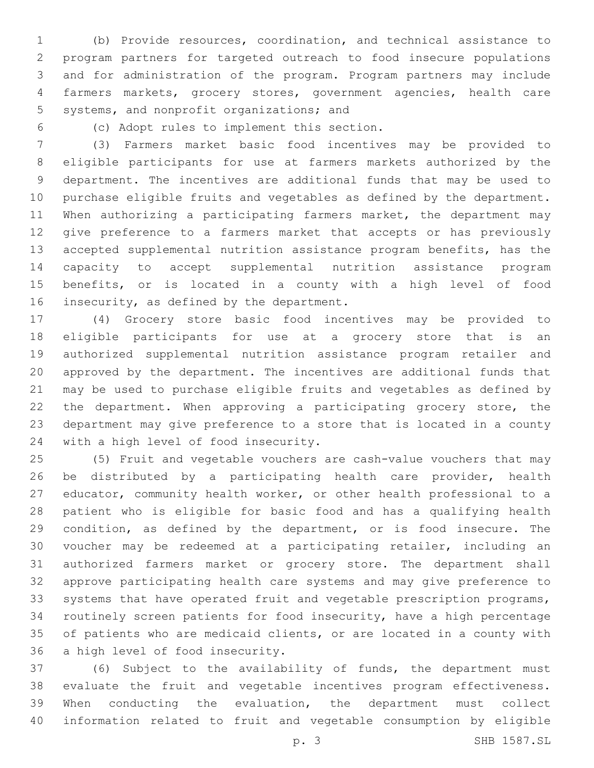(b) Provide resources, coordination, and technical assistance to program partners for targeted outreach to food insecure populations and for administration of the program. Program partners may include farmers markets, grocery stores, government agencies, health care 5 systems, and nonprofit organizations; and

(c) Adopt rules to implement this section.6

 (3) Farmers market basic food incentives may be provided to eligible participants for use at farmers markets authorized by the department. The incentives are additional funds that may be used to purchase eligible fruits and vegetables as defined by the department. When authorizing a participating farmers market, the department may give preference to a farmers market that accepts or has previously accepted supplemental nutrition assistance program benefits, has the capacity to accept supplemental nutrition assistance program benefits, or is located in a county with a high level of food 16 insecurity, as defined by the department.

 (4) Grocery store basic food incentives may be provided to eligible participants for use at a grocery store that is an authorized supplemental nutrition assistance program retailer and approved by the department. The incentives are additional funds that may be used to purchase eligible fruits and vegetables as defined by the department. When approving a participating grocery store, the department may give preference to a store that is located in a county 24 with a high level of food insecurity.

 (5) Fruit and vegetable vouchers are cash-value vouchers that may be distributed by a participating health care provider, health educator, community health worker, or other health professional to a patient who is eligible for basic food and has a qualifying health 29 condition, as defined by the department, or is food insecure. The voucher may be redeemed at a participating retailer, including an authorized farmers market or grocery store. The department shall approve participating health care systems and may give preference to systems that have operated fruit and vegetable prescription programs, routinely screen patients for food insecurity, have a high percentage of patients who are medicaid clients, or are located in a county with 36 a high level of food insecurity.

 (6) Subject to the availability of funds, the department must evaluate the fruit and vegetable incentives program effectiveness. When conducting the evaluation, the department must collect information related to fruit and vegetable consumption by eligible